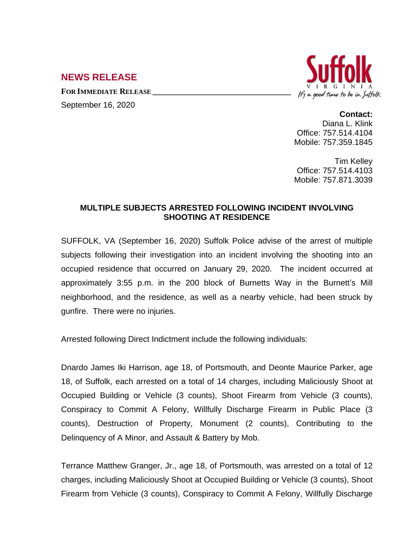## **NEWS RELEASE**

**FOR IMMEDIATE RELEASE \_\_\_\_\_\_\_\_\_\_\_\_\_\_\_\_\_\_\_\_\_\_\_\_\_\_\_\_\_\_\_\_\_\_**

September 16, 2020



## **Contact:**

Diana L. Klink Office: 757.514.4104 Mobile: 757.359.1845

Tim Kelley Office: 757.514.4103 Mobile: 757.871.3039

## **MULTIPLE SUBJECTS ARRESTED FOLLOWING INCIDENT INVOLVING SHOOTING AT RESIDENCE**

SUFFOLK, VA (September 16, 2020) Suffolk Police advise of the arrest of multiple subjects following their investigation into an incident involving the shooting into an occupied residence that occurred on January 29, 2020. The incident occurred at approximately 3:55 p.m. in the 200 block of Burnetts Way in the Burnett's Mill neighborhood, and the residence, as well as a nearby vehicle, had been struck by gunfire. There were no injuries.

Arrested following Direct Indictment include the following individuals:

Dnardo James Iki Harrison, age 18, of Portsmouth, and Deonte Maurice Parker, age 18, of Suffolk, each arrested on a total of 14 charges, including Maliciously Shoot at Occupied Building or Vehicle (3 counts), Shoot Firearm from Vehicle (3 counts), Conspiracy to Commit A Felony, Willfully Discharge Firearm in Public Place (3 counts), Destruction of Property, Monument (2 counts), Contributing to the Delinquency of A Minor, and Assault & Battery by Mob.

Terrance Matthew Granger, Jr., age 18, of Portsmouth, was arrested on a total of 12 charges, including Maliciously Shoot at Occupied Building or Vehicle (3 counts), Shoot Firearm from Vehicle (3 counts), Conspiracy to Commit A Felony, Willfully Discharge